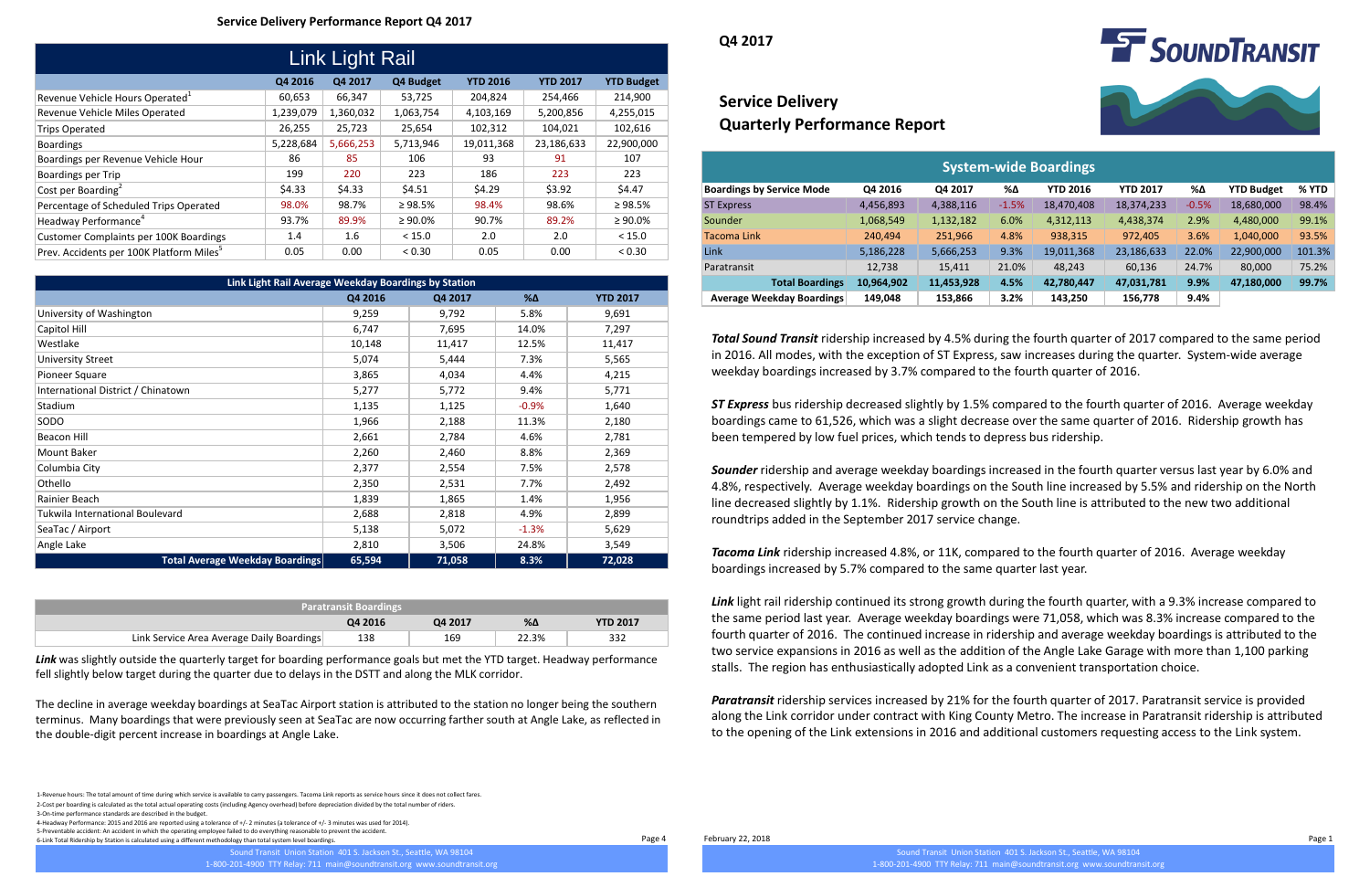1-Revenue hours: The total amount of time during which service is available to carry passengers. Tacoma Link reports as service hours since it does not collect fares. 2-Cost per boarding is calculated as the total actual operating costs (including Agency overhead) before depreciation divided by the total number of riders. 3-On-time performance standards are described in the budget.

4-Headway Performance: 2015 and 2016 are reported using a tolerance of +/- 2 minutes (a tolerance of +/- 3 minutes was used for 2014). 5-Preventable accident: An accident in which the operating employee failed to do everything reasonable to prevent the accident. 6-Link Total Ridership by Station is calculated using a different methodology than total system level boardings.

# **Service Delivery Quarterly Performance Report**

#### **Service Delivery Performance Report Q4 2017**

**Q4 2017**

| <b>System-wide Boardings</b>     |            |            |         |                 |                 |         |                   |        |  |  |  |
|----------------------------------|------------|------------|---------|-----------------|-----------------|---------|-------------------|--------|--|--|--|
| <b>Boardings by Service Mode</b> | Q4 2016    | Q4 2017    | %Δ      | <b>YTD 2016</b> | <b>YTD 2017</b> | %Δ      | <b>YTD Budget</b> | % YTD  |  |  |  |
| <b>ST Express</b>                | 4,456,893  | 4,388,116  | $-1.5%$ | 18,470,408      | 18,374,233      | $-0.5%$ | 18,680,000        | 98.4%  |  |  |  |
| Sounder                          | 1,068,549  | 1,132,182  | 6.0%    | 4,312,113       | 4,438,374       | 2.9%    | 4,480,000         | 99.1%  |  |  |  |
| Tacoma Link                      | 240,494    | 251,966    | 4.8%    | 938,315         | 972,405         | 3.6%    | 1,040,000         | 93.5%  |  |  |  |
| Link                             | 5,186,228  | 5,666,253  | 9.3%    | 19,011,368      | 23,186,633      | 22.0%   | 22,900,000        | 101.3% |  |  |  |
| Paratransit                      | 12,738     | 15,411     | 21.0%   | 48,243          | 60,136          | 24.7%   | 80,000            | 75.2%  |  |  |  |
| <b>Total Boardings</b>           | 10,964,902 | 11,453,928 | 4.5%    | 42,780,447      | 47,031,781      | 9.9%    | 47,180,000        | 99.7%  |  |  |  |
| <b>Average Weekday Boardings</b> | 149,048    | 153,866    | 3.2%    | 143,250         | 156,778         | 9.4%    |                   |        |  |  |  |

| Link Light Rail                                      |           |           |               |                 |                 |                   |  |  |  |
|------------------------------------------------------|-----------|-----------|---------------|-----------------|-----------------|-------------------|--|--|--|
|                                                      | Q4 2016   | Q4 2017   | Q4 Budget     | <b>YTD 2016</b> | <b>YTD 2017</b> | <b>YTD Budget</b> |  |  |  |
| Revenue Vehicle Hours Operated <sup>1</sup>          | 60,653    | 66,347    | 53,725        | 204,824         | 254,466         | 214,900           |  |  |  |
| Revenue Vehicle Miles Operated                       | 1,239,079 | 1,360,032 | 1,063,754     | 4,103,169       | 5,200,856       | 4,255,015         |  |  |  |
| <b>Trips Operated</b>                                | 26,255    | 25,723    | 25,654        | 102,312         | 104,021         | 102,616           |  |  |  |
| <b>Boardings</b>                                     | 5,228,684 | 5,666,253 | 5,713,946     | 19,011,368      | 23,186,633      | 22,900,000        |  |  |  |
| Boardings per Revenue Vehicle Hour                   | 86        | 85        | 106           | 93              | 91              | 107               |  |  |  |
| Boardings per Trip                                   | 199       | 220       | 223           | 186             | 223             | 223               |  |  |  |
| Cost per Boarding <sup>2</sup>                       | \$4.33    | \$4.33    | \$4.51        | \$4.29          | \$3.92          | \$4.47            |  |  |  |
| Percentage of Scheduled Trips Operated               | 98.0%     | 98.7%     | $\geq 98.5\%$ | 98.4%           | 98.6%           | $\geq 98.5\%$     |  |  |  |
| Headway Performance <sup>4</sup>                     | 93.7%     | 89.9%     | $\geq 90.0\%$ | 90.7%           | 89.2%           | $\geq 90.0\%$     |  |  |  |
| <b>Customer Complaints per 100K Boardings</b>        | 1.4       | 1.6       | < 15.0        | 2.0             | 2.0             | < 15.0            |  |  |  |
| Prev. Accidents per 100K Platform Miles <sup>5</sup> | 0.05      | 0.00      | < 0.30        | 0.05            | 0.00            | < 0.30            |  |  |  |

Page 4 February 22, 2018 Page 1

Sound Transit Union Station 401 S. Jackson St., Seattle, WA 98104 1-800-201-4900 TTY Relay: 711 main@soundtransit.org www.soundtransit.org



| Link Light Rail Average Weekday Boardings by Station |         |         |            |                 |  |  |  |  |  |
|------------------------------------------------------|---------|---------|------------|-----------------|--|--|--|--|--|
|                                                      | Q4 2016 | Q4 2017 | $% \Delta$ | <b>YTD 2017</b> |  |  |  |  |  |
| University of Washington                             | 9,259   | 9,792   | 5.8%       | 9,691           |  |  |  |  |  |
| Capitol Hill                                         | 6,747   | 7,695   | 14.0%      | 7,297           |  |  |  |  |  |
| Westlake                                             | 10,148  | 11,417  | 12.5%      | 11,417          |  |  |  |  |  |
| <b>University Street</b>                             | 5,074   | 5,444   | 7.3%       | 5,565           |  |  |  |  |  |
| Pioneer Square                                       | 3,865   | 4,034   | 4.4%       | 4,215           |  |  |  |  |  |
| International District / Chinatown                   | 5,277   | 5,772   | 9.4%       | 5,771           |  |  |  |  |  |
| Stadium                                              | 1,135   | 1,125   | $-0.9%$    | 1,640           |  |  |  |  |  |
| SODO                                                 | 1,966   | 2,188   |            | 2,180           |  |  |  |  |  |
| Beacon Hill                                          | 2,661   | 2,784   | 4.6%       | 2,781           |  |  |  |  |  |
| Mount Baker                                          | 2,260   | 2,460   | 8.8%       | 2,369           |  |  |  |  |  |
| Columbia City                                        | 2,377   | 2,554   |            | 2,578           |  |  |  |  |  |
| Othello                                              | 2,350   | 2,531   | 7.7%       | 2,492           |  |  |  |  |  |
| Rainier Beach                                        | 1,839   | 1,865   |            | 1,956           |  |  |  |  |  |
| Tukwila International Boulevard                      | 2,688   | 2,818   | 4.9%       | 2,899           |  |  |  |  |  |
| SeaTac / Airport                                     | 5,138   | 5,072   | $-1.3%$    | 5,629           |  |  |  |  |  |
| Angle Lake                                           | 2,810   | 3,506   | 24.8%      | 3,549           |  |  |  |  |  |
| <b>Total Average Weekday Boardings</b>               | 65,594  | 71,058  | 8.3%       | 72,028          |  |  |  |  |  |

| <b>Paratransit Boardings</b>              |         |         |       |                 |  |  |
|-------------------------------------------|---------|---------|-------|-----------------|--|--|
|                                           | Q4 2016 | 04 2017 | %Δ    | <b>YTD 2017</b> |  |  |
| Link Service Area Average Daily Boardings | 138     | 169     | 22.3% | 332             |  |  |

*Total Sound Transit* ridership increased by 4.5% during the fourth quarter of 2017 compared to the same period in 2016. All modes, with the exception of ST Express, saw increases during the quarter. System-wide average weekday boardings increased by 3.7% compared to the fourth quarter of 2016.

*ST Express* bus ridership decreased slightly by 1.5% compared to the fourth quarter of 2016. Average weekday boardings came to 61,526, which was a slight decrease over the same quarter of 2016. Ridership growth has been tempered by low fuel prices, which tends to depress bus ridership.

*Sounder* ridership and average weekday boardings increased in the fourth quarter versus last year by 6.0% and 4.8%, respectively. Average weekday boardings on the South line increased by 5.5% and ridership on the North line decreased slightly by 1.1%. Ridership growth on the South line is attributed to the new two additional roundtrips added in the September 2017 service change.

*Tacoma Link* ridership increased 4.8%, or 11K, compared to the fourth quarter of 2016. Average weekday boardings increased by 5.7% compared to the same quarter last year.

*Link* light rail ridership continued its strong growth during the fourth quarter, with a 9.3% increase compared to the same period last year. Average weekday boardings were 71,058, which was 8.3% increase compared to the fourth quarter of 2016. The continued increase in ridership and average weekday boardings is attributed to the two service expansions in 2016 as well as the addition of the Angle Lake Garage with more than 1,100 parking stalls. The region has enthusiastically adopted Link as a convenient transportation choice.

*Paratransit* ridership services increased by 21% for the fourth quarter of 2017. Paratransit service is provided along the Link corridor under contract with King County Metro. The increase in Paratransit ridership is attributed to the opening of the Link extensions in 2016 and additional customers requesting access to the Link system.

*Link* was slightly outside the quarterly target for boarding performance goals but met the YTD target. Headway performance fell slightly below target during the quarter due to delays in the DSTT and along the MLK corridor.

The decline in average weekday boardings at SeaTac Airport station is attributed to the station no longer being the southern terminus. Many boardings that were previously seen at SeaTac are now occurring farther south at Angle Lake, as reflected in the double-digit percent increase in boardings at Angle Lake.